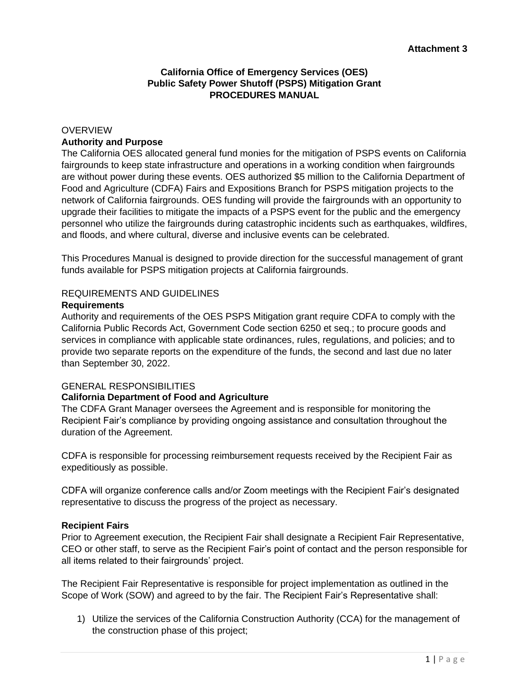# **California Office of Emergency Services (OES) Public Safety Power Shutoff (PSPS) Mitigation Grant PROCEDURES MANUAL**

### **OVERVIEW Authority and Purpose**

The California OES allocated general fund monies for the mitigation of PSPS events on California fairgrounds to keep state infrastructure and operations in a working condition when fairgrounds are without power during these events. OES authorized \$5 million to the California Department of Food and Agriculture (CDFA) Fairs and Expositions Branch for PSPS mitigation projects to the network of California fairgrounds. OES funding will provide the fairgrounds with an opportunity to upgrade their facilities to mitigate the impacts of a PSPS event for the public and the emergency personnel who utilize the fairgrounds during catastrophic incidents such as earthquakes, wildfires, and floods, and where cultural, diverse and inclusive events can be celebrated.

This Procedures Manual is designed to provide direction for the successful management of grant funds available for PSPS mitigation projects at California fairgrounds.

### REQUIREMENTS AND GUIDELINES

#### **Requirements**

Authority and requirements of the OES PSPS Mitigation grant require CDFA to comply with the California Public Records Act, Government Code section 6250 et seq.; to procure goods and services in compliance with applicable state ordinances, rules, regulations, and policies; and to provide two separate reports on the expenditure of the funds, the second and last due no later than September 30, 2022.

#### GENERAL RESPONSIBILITIES

#### **California Department of Food and Agriculture**

The CDFA Grant Manager oversees the Agreement and is responsible for monitoring the Recipient Fair's compliance by providing ongoing assistance and consultation throughout the duration of the Agreement.

CDFA is responsible for processing reimbursement requests received by the Recipient Fair as expeditiously as possible.

CDFA will organize conference calls and/or Zoom meetings with the Recipient Fair's designated representative to discuss the progress of the project as necessary.

#### **Recipient Fairs**

Prior to Agreement execution, the Recipient Fair shall designate a Recipient Fair Representative, CEO or other staff, to serve as the Recipient Fair's point of contact and the person responsible for all items related to their fairgrounds' project.

The Recipient Fair Representative is responsible for project implementation as outlined in the Scope of Work (SOW) and agreed to by the fair. The Recipient Fair's Representative shall:

1) Utilize the services of the California Construction Authority (CCA) for the management of the construction phase of this project;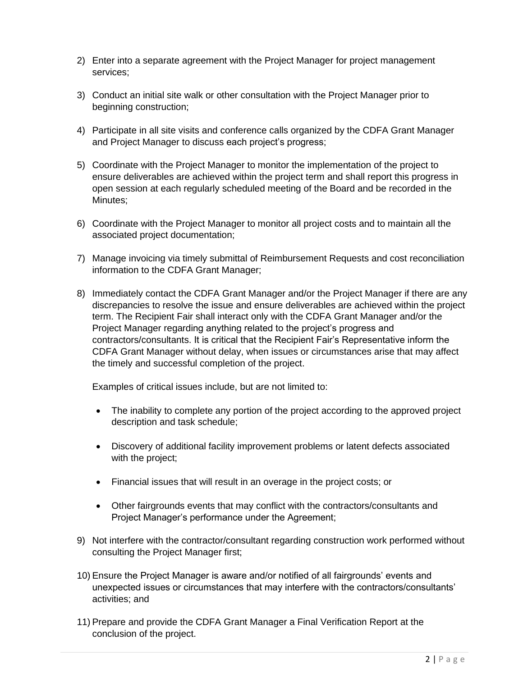- 2) Enter into a separate agreement with the Project Manager for project management services;
- 3) Conduct an initial site walk or other consultation with the Project Manager prior to beginning construction;
- 4) Participate in all site visits and conference calls organized by the CDFA Grant Manager and Project Manager to discuss each project's progress;
- 5) Coordinate with the Project Manager to monitor the implementation of the project to ensure deliverables are achieved within the project term and shall report this progress in open session at each regularly scheduled meeting of the Board and be recorded in the Minutes;
- 6) Coordinate with the Project Manager to monitor all project costs and to maintain all the associated project documentation;
- 7) Manage invoicing via timely submittal of Reimbursement Requests and cost reconciliation information to the CDFA Grant Manager;
- 8) Immediately contact the CDFA Grant Manager and/or the Project Manager if there are any discrepancies to resolve the issue and ensure deliverables are achieved within the project term. The Recipient Fair shall interact only with the CDFA Grant Manager and/or the Project Manager regarding anything related to the project's progress and contractors/consultants. It is critical that the Recipient Fair's Representative inform the CDFA Grant Manager without delay, when issues or circumstances arise that may affect the timely and successful completion of the project.

Examples of critical issues include, but are not limited to:

- The inability to complete any portion of the project according to the approved project description and task schedule;
- Discovery of additional facility improvement problems or latent defects associated with the project;
- Financial issues that will result in an overage in the project costs; or
- Other fairgrounds events that may conflict with the contractors/consultants and Project Manager's performance under the Agreement;
- 9) Not interfere with the contractor/consultant regarding construction work performed without consulting the Project Manager first;
- 10) Ensure the Project Manager is aware and/or notified of all fairgrounds' events and unexpected issues or circumstances that may interfere with the contractors/consultants' activities; and
- 11) Prepare and provide the CDFA Grant Manager a Final Verification Report at the conclusion of the project.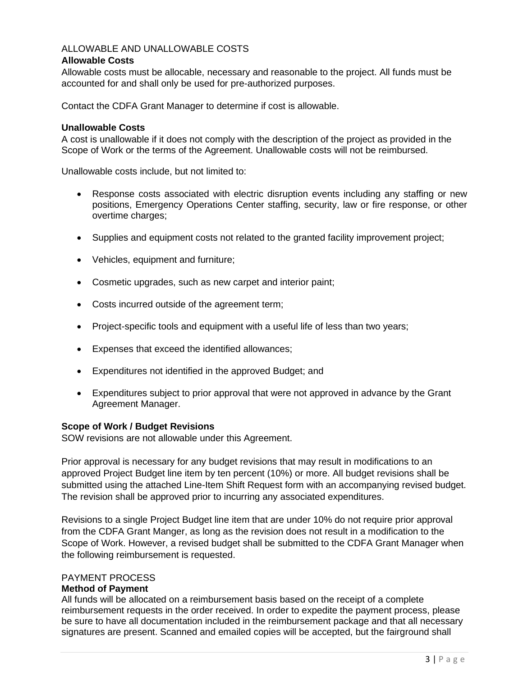# ALLOWABLE AND UNALLOWABLE COSTS

## **Allowable Costs**

Allowable costs must be allocable, necessary and reasonable to the project. All funds must be accounted for and shall only be used for pre-authorized purposes.

Contact the CDFA Grant Manager to determine if cost is allowable.

### **Unallowable Costs**

A cost is unallowable if it does not comply with the description of the project as provided in the Scope of Work or the terms of the Agreement. Unallowable costs will not be reimbursed.

Unallowable costs include, but not limited to:

- Response costs associated with electric disruption events including any staffing or new positions, Emergency Operations Center staffing, security, law or fire response, or other overtime charges;
- Supplies and equipment costs not related to the granted facility improvement project;
- Vehicles, equipment and furniture;
- Cosmetic upgrades, such as new carpet and interior paint;
- Costs incurred outside of the agreement term;
- Project-specific tools and equipment with a useful life of less than two years;
- Expenses that exceed the identified allowances;
- Expenditures not identified in the approved Budget; and
- Expenditures subject to prior approval that were not approved in advance by the Grant Agreement Manager.

#### **Scope of Work / Budget Revisions**

SOW revisions are not allowable under this Agreement.

Prior approval is necessary for any budget revisions that may result in modifications to an approved Project Budget line item by ten percent (10%) or more. All budget revisions shall be submitted using the attached Line-Item Shift Request form with an accompanying revised budget. The revision shall be approved prior to incurring any associated expenditures.

Revisions to a single Project Budget line item that are under 10% do not require prior approval from the CDFA Grant Manger, as long as the revision does not result in a modification to the Scope of Work. However, a revised budget shall be submitted to the CDFA Grant Manager when the following reimbursement is requested.

## PAYMENT PROCESS

### **Method of Payment**

All funds will be allocated on a reimbursement basis based on the receipt of a complete reimbursement requests in the order received. In order to expedite the payment process, please be sure to have all documentation included in the reimbursement package and that all necessary signatures are present. Scanned and emailed copies will be accepted, but the fairground shall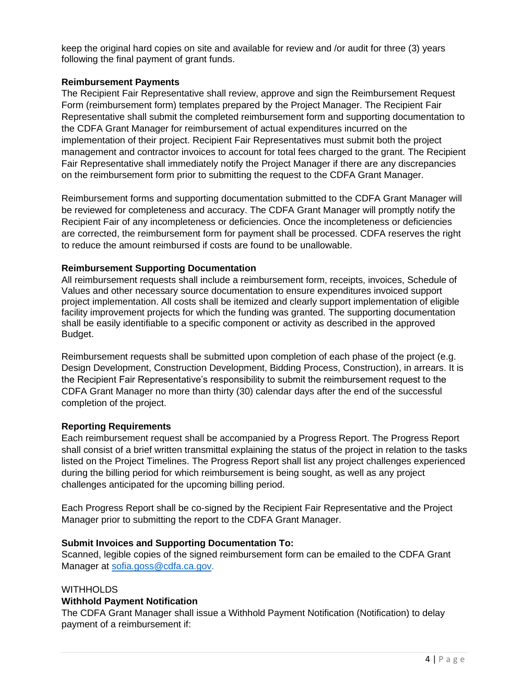keep the original hard copies on site and available for review and /or audit for three (3) years following the final payment of grant funds.

## **Reimbursement Payments**

The Recipient Fair Representative shall review, approve and sign the Reimbursement Request Form (reimbursement form) templates prepared by the Project Manager. The Recipient Fair Representative shall submit the completed reimbursement form and supporting documentation to the CDFA Grant Manager for reimbursement of actual expenditures incurred on the implementation of their project. Recipient Fair Representatives must submit both the project management and contractor invoices to account for total fees charged to the grant. The Recipient Fair Representative shall immediately notify the Project Manager if there are any discrepancies on the reimbursement form prior to submitting the request to the CDFA Grant Manager.

Reimbursement forms and supporting documentation submitted to the CDFA Grant Manager will be reviewed for completeness and accuracy. The CDFA Grant Manager will promptly notify the Recipient Fair of any incompleteness or deficiencies. Once the incompleteness or deficiencies are corrected, the reimbursement form for payment shall be processed. CDFA reserves the right to reduce the amount reimbursed if costs are found to be unallowable.

### **Reimbursement Supporting Documentation**

All reimbursement requests shall include a reimbursement form, receipts, invoices, Schedule of Values and other necessary source documentation to ensure expenditures invoiced support project implementation. All costs shall be itemized and clearly support implementation of eligible facility improvement projects for which the funding was granted. The supporting documentation shall be easily identifiable to a specific component or activity as described in the approved Budget.

Reimbursement requests shall be submitted upon completion of each phase of the project (e.g. Design Development, Construction Development, Bidding Process, Construction), in arrears. It is the Recipient Fair Representative's responsibility to submit the reimbursement request to the CDFA Grant Manager no more than thirty (30) calendar days after the end of the successful completion of the project.

#### **Reporting Requirements**

Each reimbursement request shall be accompanied by a Progress Report. The Progress Report shall consist of a brief written transmittal explaining the status of the project in relation to the tasks listed on the Project Timelines. The Progress Report shall list any project challenges experienced during the billing period for which reimbursement is being sought, as well as any project challenges anticipated for the upcoming billing period.

Each Progress Report shall be co-signed by the Recipient Fair Representative and the Project Manager prior to submitting the report to the CDFA Grant Manager.

#### **Submit Invoices and Supporting Documentation To:**

Scanned, legible copies of the signed reimbursement form can be emailed to the CDFA Grant Manager at [sofia.goss@cdfa.ca.gov.](mailto:sofia.goss@cdfa.ca.gov)

#### **WITHHOLDS**

#### **Withhold Payment Notification**

The CDFA Grant Manager shall issue a Withhold Payment Notification (Notification) to delay payment of a reimbursement if: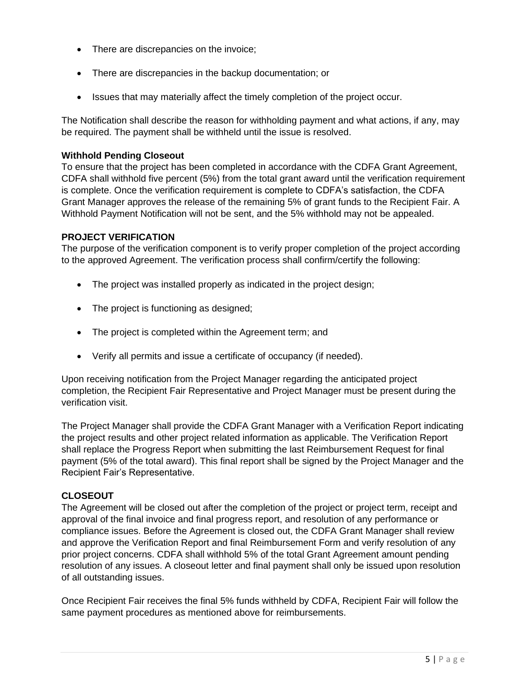- There are discrepancies on the invoice;
- There are discrepancies in the backup documentation; or
- Issues that may materially affect the timely completion of the project occur.

The Notification shall describe the reason for withholding payment and what actions, if any, may be required. The payment shall be withheld until the issue is resolved.

### **Withhold Pending Closeout**

To ensure that the project has been completed in accordance with the CDFA Grant Agreement, CDFA shall withhold five percent (5%) from the total grant award until the verification requirement is complete. Once the verification requirement is complete to CDFA's satisfaction, the CDFA Grant Manager approves the release of the remaining 5% of grant funds to the Recipient Fair. A Withhold Payment Notification will not be sent, and the 5% withhold may not be appealed.

## **PROJECT VERIFICATION**

The purpose of the verification component is to verify proper completion of the project according to the approved Agreement. The verification process shall confirm/certify the following:

- The project was installed properly as indicated in the project design;
- The project is functioning as designed;
- The project is completed within the Agreement term; and
- Verify all permits and issue a certificate of occupancy (if needed).

Upon receiving notification from the Project Manager regarding the anticipated project completion, the Recipient Fair Representative and Project Manager must be present during the verification visit.

The Project Manager shall provide the CDFA Grant Manager with a Verification Report indicating the project results and other project related information as applicable. The Verification Report shall replace the Progress Report when submitting the last Reimbursement Request for final payment (5% of the total award). This final report shall be signed by the Project Manager and the Recipient Fair's Representative.

## **CLOSEOUT**

The Agreement will be closed out after the completion of the project or project term, receipt and approval of the final invoice and final progress report, and resolution of any performance or compliance issues. Before the Agreement is closed out, the CDFA Grant Manager shall review and approve the Verification Report and final Reimbursement Form and verify resolution of any prior project concerns. CDFA shall withhold 5% of the total Grant Agreement amount pending resolution of any issues. A closeout letter and final payment shall only be issued upon resolution of all outstanding issues.

Once Recipient Fair receives the final 5% funds withheld by CDFA, Recipient Fair will follow the same payment procedures as mentioned above for reimbursements.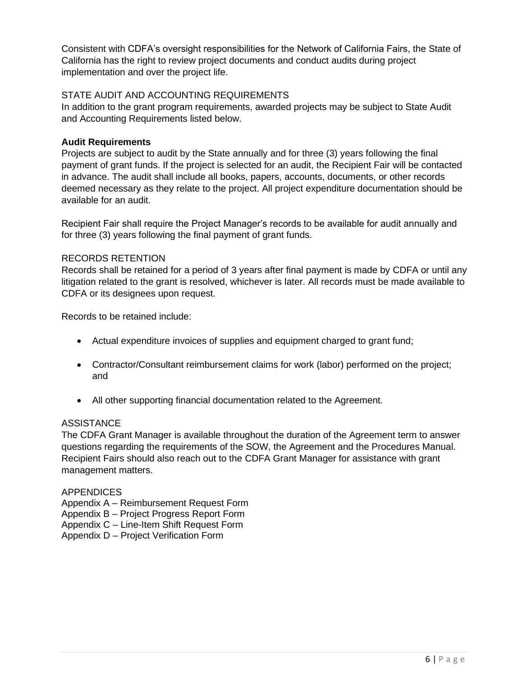Consistent with CDFA's oversight responsibilities for the Network of California Fairs, the State of California has the right to review project documents and conduct audits during project implementation and over the project life.

# STATE AUDIT AND ACCOUNTING REQUIREMENTS

In addition to the grant program requirements, awarded projects may be subject to State Audit and Accounting Requirements listed below.

## **Audit Requirements**

Projects are subject to audit by the State annually and for three (3) years following the final payment of grant funds. If the project is selected for an audit, the Recipient Fair will be contacted in advance. The audit shall include all books, papers, accounts, documents, or other records deemed necessary as they relate to the project. All project expenditure documentation should be available for an audit.

Recipient Fair shall require the Project Manager's records to be available for audit annually and for three (3) years following the final payment of grant funds.

## RECORDS RETENTION

Records shall be retained for a period of 3 years after final payment is made by CDFA or until any litigation related to the grant is resolved, whichever is later. All records must be made available to CDFA or its designees upon request.

Records to be retained include:

- Actual expenditure invoices of supplies and equipment charged to grant fund;
- Contractor/Consultant reimbursement claims for work (labor) performed on the project; and
- All other supporting financial documentation related to the Agreement.

# ASSISTANCE

The CDFA Grant Manager is available throughout the duration of the Agreement term to answer questions regarding the requirements of the SOW, the Agreement and the Procedures Manual. Recipient Fairs should also reach out to the CDFA Grant Manager for assistance with grant management matters.

#### **APPENDICES**

Appendix A – Reimbursement Request Form

Appendix B – Project Progress Report Form

Appendix C – Line-Item Shift Request Form

Appendix D – Project Verification Form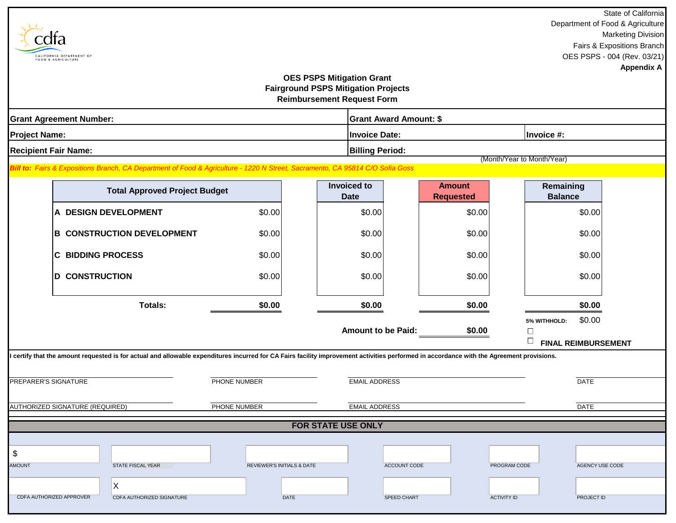|                           |                                                                                                                                                                                           |                            |                                            |                               |                                      | State of California       |  |  |  |
|---------------------------|-------------------------------------------------------------------------------------------------------------------------------------------------------------------------------------------|----------------------------|--------------------------------------------|-------------------------------|--------------------------------------|---------------------------|--|--|--|
|                           |                                                                                                                                                                                           |                            |                                            |                               | Department of Food & Agriculture     |                           |  |  |  |
|                           |                                                                                                                                                                                           |                            |                                            |                               |                                      | <b>Marketing Division</b> |  |  |  |
|                           |                                                                                                                                                                                           |                            |                                            |                               | Fairs & Expositions Branch           |                           |  |  |  |
|                           | CALIFORNIA DEPARTMENT OF<br>FOOD & AGRICULTURE                                                                                                                                            |                            |                                            |                               | OES PSPS - 004 (Rev. 03/21)          |                           |  |  |  |
|                           |                                                                                                                                                                                           |                            | <b>OES PSPS Mitigation Grant</b>           |                               |                                      | <b>Appendix A</b>         |  |  |  |
|                           |                                                                                                                                                                                           |                            | <b>Fairground PSPS Mitigation Projects</b> |                               |                                      |                           |  |  |  |
|                           |                                                                                                                                                                                           |                            | <b>Reimbursement Request Form</b>          |                               |                                      |                           |  |  |  |
|                           |                                                                                                                                                                                           |                            |                                            |                               |                                      |                           |  |  |  |
|                           | <b>Grant Agreement Number:</b>                                                                                                                                                            |                            |                                            | <b>Grant Award Amount: \$</b> |                                      |                           |  |  |  |
| <b>Project Name:</b>      |                                                                                                                                                                                           |                            | <b>Invoice Date:</b><br>Invoice #:         |                               |                                      |                           |  |  |  |
|                           | <b>Recipient Fair Name:</b>                                                                                                                                                               | <b>Billing Period:</b>     |                                            |                               |                                      |                           |  |  |  |
|                           |                                                                                                                                                                                           |                            |                                            |                               | (Month/Year to Month/Year)           |                           |  |  |  |
|                           | Bill to: Fairs & Expositions Branch, CA Department of Food & Agriculture - 1220 N Street, Sacramento, CA 95814 C/O Sofia Goss                                                             |                            |                                            |                               |                                      |                           |  |  |  |
|                           |                                                                                                                                                                                           |                            | <b>Invoiced to</b>                         | <b>Amount</b>                 | Remaining                            |                           |  |  |  |
|                           | <b>Total Approved Project Budget</b>                                                                                                                                                      |                            | <b>Date</b>                                | <b>Requested</b>              | <b>Balance</b>                       |                           |  |  |  |
|                           | A DESIGN DEVELOPMENT                                                                                                                                                                      | \$0.00                     | \$0.00                                     | \$0.00                        | \$0.00                               |                           |  |  |  |
|                           |                                                                                                                                                                                           |                            |                                            |                               |                                      |                           |  |  |  |
|                           | <b>B CONSTRUCTION DEVELOPMENT</b>                                                                                                                                                         | \$0.00                     | \$0.00                                     | \$0.00                        | \$0.00                               |                           |  |  |  |
|                           |                                                                                                                                                                                           |                            |                                            |                               |                                      |                           |  |  |  |
|                           | <b>BIDDING PROCESS</b><br>ІC                                                                                                                                                              | \$0.00                     | \$0.00                                     | \$0.00                        | \$0.00                               |                           |  |  |  |
|                           | <b>CONSTRUCTION</b><br>D                                                                                                                                                                  | \$0.00                     | \$0.00                                     | \$0.00                        | \$0.00                               |                           |  |  |  |
|                           |                                                                                                                                                                                           |                            |                                            |                               |                                      |                           |  |  |  |
|                           |                                                                                                                                                                                           |                            |                                            |                               |                                      |                           |  |  |  |
|                           | <b>Totals:</b>                                                                                                                                                                            | \$0.00                     | \$0.00                                     | \$0.00                        | \$0.00                               |                           |  |  |  |
|                           |                                                                                                                                                                                           |                            |                                            |                               | \$0.00<br>5% WITHHOLD:               |                           |  |  |  |
|                           |                                                                                                                                                                                           |                            | <b>Amount to be Paid:</b>                  | \$0.00                        | $\Box$                               |                           |  |  |  |
|                           |                                                                                                                                                                                           |                            |                                            |                               | $\Box$<br><b>FINAL REIMBURSEMENT</b> |                           |  |  |  |
|                           | I certify that the amount requested is for actual and allowable expenditures incurred for CA Fairs facility improvement activities performed in accordance with the Agreement provisions. |                            |                                            |                               |                                      |                           |  |  |  |
|                           |                                                                                                                                                                                           |                            |                                            |                               |                                      |                           |  |  |  |
|                           | PREPARER'S SIGNATURE                                                                                                                                                                      | PHONE NUMBER               | <b>EMAIL ADDRESS</b>                       |                               | <b>DATE</b>                          |                           |  |  |  |
|                           |                                                                                                                                                                                           |                            |                                            |                               |                                      |                           |  |  |  |
|                           | AUTHORIZED SIGNATURE (REQUIRED)                                                                                                                                                           | PHONE NUMBER               | <b>EMAIL ADDRESS</b>                       |                               | <b>DATE</b>                          |                           |  |  |  |
|                           |                                                                                                                                                                                           |                            |                                            |                               |                                      |                           |  |  |  |
| <b>FOR STATE USE ONLY</b> |                                                                                                                                                                                           |                            |                                            |                               |                                      |                           |  |  |  |
|                           |                                                                                                                                                                                           |                            |                                            |                               |                                      |                           |  |  |  |
| \$                        |                                                                                                                                                                                           |                            |                                            |                               |                                      |                           |  |  |  |
| AMOUNT                    | STATE FISCAL YEAR                                                                                                                                                                         | REVIEWER'S INITIALS & DATE | ACCOUNT CODE                               |                               | PROGRAM CODE<br>AGENCY USE CODE      |                           |  |  |  |
|                           | X                                                                                                                                                                                         |                            |                                            |                               |                                      |                           |  |  |  |
|                           | CDFA AUTHORIZED APPROVER<br>CDFA AUTHORIZED SIGNATURE                                                                                                                                     | <b>DATE</b>                | SPEED CHART                                | <b>ACTIVITY ID</b>            | PROJECT ID                           |                           |  |  |  |
|                           |                                                                                                                                                                                           |                            |                                            |                               |                                      |                           |  |  |  |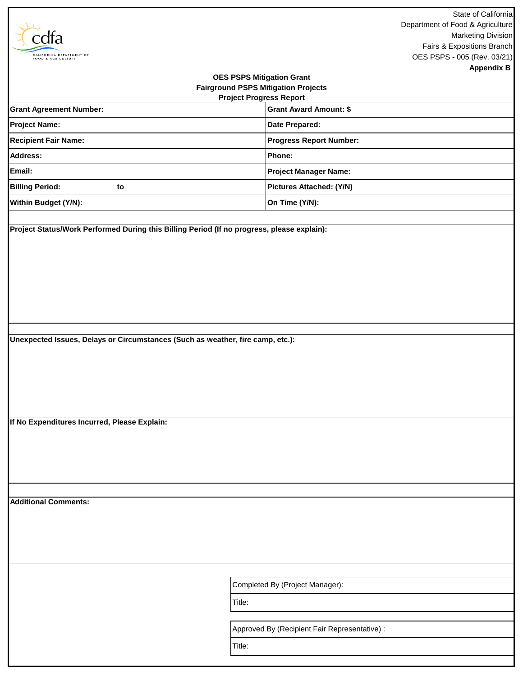|                                                                                                                  | State of California                                           |  |  |  |  |  |  |
|------------------------------------------------------------------------------------------------------------------|---------------------------------------------------------------|--|--|--|--|--|--|
|                                                                                                                  | Department of Food & Agriculture<br><b>Marketing Division</b> |  |  |  |  |  |  |
|                                                                                                                  | Fairs & Expositions Branch                                    |  |  |  |  |  |  |
| CALIFORNIA DEPARTMENT OF<br>FOOD & AGRICULTURE                                                                   | OES PSPS - 005 (Rev. 03/21)                                   |  |  |  |  |  |  |
|                                                                                                                  | <b>Appendix B</b>                                             |  |  |  |  |  |  |
| <b>OES PSPS Mitigation Grant</b><br><b>Fairground PSPS Mitigation Projects</b><br><b>Project Progress Report</b> |                                                               |  |  |  |  |  |  |
| <b>Grant Agreement Number:</b>                                                                                   | <b>Grant Award Amount: \$</b>                                 |  |  |  |  |  |  |
| <b>Project Name:</b>                                                                                             | Date Prepared:                                                |  |  |  |  |  |  |
| <b>Recipient Fair Name:</b>                                                                                      | <b>Progress Report Number:</b>                                |  |  |  |  |  |  |
| <b>Address:</b>                                                                                                  | Phone:                                                        |  |  |  |  |  |  |
| Email:                                                                                                           | <b>Project Manager Name:</b>                                  |  |  |  |  |  |  |
| <b>Billing Period:</b><br>to                                                                                     | Pictures Attached: (Y/N)                                      |  |  |  |  |  |  |
| Within Budget (Y/N):                                                                                             | On Time (Y/N):                                                |  |  |  |  |  |  |
|                                                                                                                  |                                                               |  |  |  |  |  |  |
| Project Status/Work Performed During this Billing Period (If no progress, please explain):                       |                                                               |  |  |  |  |  |  |
|                                                                                                                  |                                                               |  |  |  |  |  |  |
|                                                                                                                  |                                                               |  |  |  |  |  |  |
|                                                                                                                  |                                                               |  |  |  |  |  |  |
|                                                                                                                  |                                                               |  |  |  |  |  |  |
|                                                                                                                  |                                                               |  |  |  |  |  |  |
|                                                                                                                  |                                                               |  |  |  |  |  |  |
| Unexpected Issues, Delays or Circumstances (Such as weather, fire camp, etc.):                                   |                                                               |  |  |  |  |  |  |
|                                                                                                                  |                                                               |  |  |  |  |  |  |
|                                                                                                                  |                                                               |  |  |  |  |  |  |
|                                                                                                                  |                                                               |  |  |  |  |  |  |
|                                                                                                                  |                                                               |  |  |  |  |  |  |
|                                                                                                                  |                                                               |  |  |  |  |  |  |
| If No Expenditures Incurred, Please Explain:                                                                     |                                                               |  |  |  |  |  |  |
|                                                                                                                  |                                                               |  |  |  |  |  |  |
|                                                                                                                  |                                                               |  |  |  |  |  |  |
|                                                                                                                  |                                                               |  |  |  |  |  |  |
|                                                                                                                  |                                                               |  |  |  |  |  |  |
|                                                                                                                  |                                                               |  |  |  |  |  |  |
| <b>Additional Comments:</b>                                                                                      |                                                               |  |  |  |  |  |  |
|                                                                                                                  |                                                               |  |  |  |  |  |  |
|                                                                                                                  |                                                               |  |  |  |  |  |  |
|                                                                                                                  |                                                               |  |  |  |  |  |  |
|                                                                                                                  |                                                               |  |  |  |  |  |  |
|                                                                                                                  | Completed By (Project Manager):                               |  |  |  |  |  |  |
|                                                                                                                  | Title:                                                        |  |  |  |  |  |  |
|                                                                                                                  |                                                               |  |  |  |  |  |  |
|                                                                                                                  | Approved By (Recipient Fair Representative) :                 |  |  |  |  |  |  |
|                                                                                                                  | Title:                                                        |  |  |  |  |  |  |
|                                                                                                                  |                                                               |  |  |  |  |  |  |
|                                                                                                                  |                                                               |  |  |  |  |  |  |

Г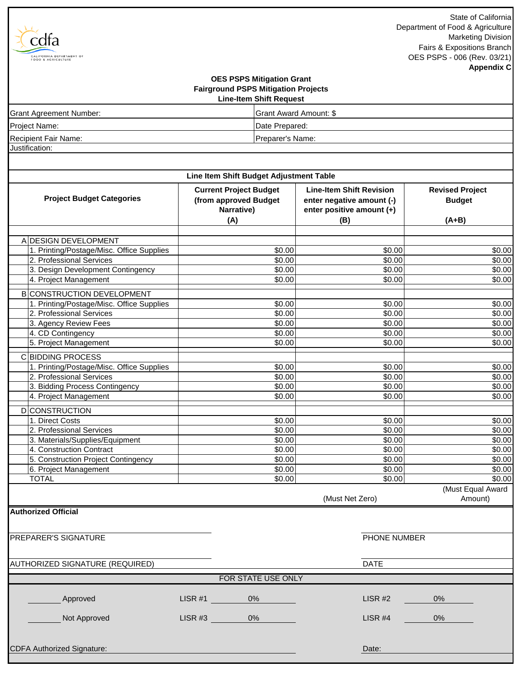State of California Department of Food & Agriculture Marketing Division Fairs & Expositions Branch OES PSPS - 006 (Rev. 03/21) **Appendix C**

# Justification: **Fairground PSPS Mitigation Projects Line-Item Shift Request OES PSPS Mitigation Grant** Project Name: **Date Prepared: Date Prepared:** Recipient Fair Name: Preparer's Name: Grant Agreement Number: Grant Award Amount: \$

cdfa

CALIFORNIA DEPARTMENT OF

| <b>Line-Item Shift Revision</b><br><b>Current Project Budget</b><br><b>Project Budget Categories</b><br>(from approved Budget<br>enter negative amount (-)<br><b>Budget</b><br>Narrative)<br>enter positive amount (+)<br>(A)<br>(B)<br>$(A+B)$<br>A DESIGN DEVELOPMENT<br>1. Printing/Postage/Misc. Office Supplies<br>\$0.00<br>\$0.00<br>2. Professional Services<br>\$0.00<br>\$0.00<br>3. Design Development Contingency<br>\$0.00<br>\$0.00<br>\$0.00<br>\$0.00<br>4. Project Management<br><b>B</b> CONSTRUCTION DEVELOPMENT<br>1. Printing/Postage/Misc. Office Supplies<br>\$0.00<br>\$0.00<br>2. Professional Services<br>\$0.00<br>\$0.00<br>\$0.00<br>3. Agency Review Fees<br>\$0.00<br>4. CD Contingency<br>$\frac{1}{30.00}$<br>\$0.00<br>5. Project Management<br>\$0.00<br>\$0.00<br><b>CBIDDING PROCESS</b><br>1. Printing/Postage/Misc. Office Supplies<br>\$0.00<br>\$0.00<br>2. Professional Services<br>\$0.00<br>\$0.00<br>\$0.00<br>\$0.00<br>3. Bidding Process Contingency<br>4. Project Management<br>\$0.00<br>\$0.00<br><b>D</b> CONSTRUCTION<br>1. Direct Costs<br>\$0.00<br>\$0.00<br>\$0.00<br>2. Professional Services<br>\$0.00<br>\$0.00<br>\$0.00<br>3. Materials/Supplies/Equipment<br>4. Construction Contract<br>\$0.00<br>\$0.00<br>\$0.00<br>\$0.00<br>5. Construction Project Contingency<br>\$0.00<br>\$0.00<br>6. Project Management<br><b>TOTAL</b><br>\$0.00<br>\$0.00<br>(Must Net Zero) | Line Item Shift Budget Adjustment Table |  |  |                        |  |  |  |  |  |  |
|-----------------------------------------------------------------------------------------------------------------------------------------------------------------------------------------------------------------------------------------------------------------------------------------------------------------------------------------------------------------------------------------------------------------------------------------------------------------------------------------------------------------------------------------------------------------------------------------------------------------------------------------------------------------------------------------------------------------------------------------------------------------------------------------------------------------------------------------------------------------------------------------------------------------------------------------------------------------------------------------------------------------------------------------------------------------------------------------------------------------------------------------------------------------------------------------------------------------------------------------------------------------------------------------------------------------------------------------------------------------------------------------------------------------------------------------|-----------------------------------------|--|--|------------------------|--|--|--|--|--|--|
|                                                                                                                                                                                                                                                                                                                                                                                                                                                                                                                                                                                                                                                                                                                                                                                                                                                                                                                                                                                                                                                                                                                                                                                                                                                                                                                                                                                                                                         |                                         |  |  | <b>Revised Project</b> |  |  |  |  |  |  |
|                                                                                                                                                                                                                                                                                                                                                                                                                                                                                                                                                                                                                                                                                                                                                                                                                                                                                                                                                                                                                                                                                                                                                                                                                                                                                                                                                                                                                                         |                                         |  |  |                        |  |  |  |  |  |  |
|                                                                                                                                                                                                                                                                                                                                                                                                                                                                                                                                                                                                                                                                                                                                                                                                                                                                                                                                                                                                                                                                                                                                                                                                                                                                                                                                                                                                                                         |                                         |  |  | \$0.00                 |  |  |  |  |  |  |
|                                                                                                                                                                                                                                                                                                                                                                                                                                                                                                                                                                                                                                                                                                                                                                                                                                                                                                                                                                                                                                                                                                                                                                                                                                                                                                                                                                                                                                         |                                         |  |  | \$0.00                 |  |  |  |  |  |  |
|                                                                                                                                                                                                                                                                                                                                                                                                                                                                                                                                                                                                                                                                                                                                                                                                                                                                                                                                                                                                                                                                                                                                                                                                                                                                                                                                                                                                                                         |                                         |  |  | \$0.00                 |  |  |  |  |  |  |
|                                                                                                                                                                                                                                                                                                                                                                                                                                                                                                                                                                                                                                                                                                                                                                                                                                                                                                                                                                                                                                                                                                                                                                                                                                                                                                                                                                                                                                         |                                         |  |  | \$0.00                 |  |  |  |  |  |  |
|                                                                                                                                                                                                                                                                                                                                                                                                                                                                                                                                                                                                                                                                                                                                                                                                                                                                                                                                                                                                                                                                                                                                                                                                                                                                                                                                                                                                                                         |                                         |  |  |                        |  |  |  |  |  |  |
|                                                                                                                                                                                                                                                                                                                                                                                                                                                                                                                                                                                                                                                                                                                                                                                                                                                                                                                                                                                                                                                                                                                                                                                                                                                                                                                                                                                                                                         |                                         |  |  |                        |  |  |  |  |  |  |
|                                                                                                                                                                                                                                                                                                                                                                                                                                                                                                                                                                                                                                                                                                                                                                                                                                                                                                                                                                                                                                                                                                                                                                                                                                                                                                                                                                                                                                         |                                         |  |  | \$0.00                 |  |  |  |  |  |  |
|                                                                                                                                                                                                                                                                                                                                                                                                                                                                                                                                                                                                                                                                                                                                                                                                                                                                                                                                                                                                                                                                                                                                                                                                                                                                                                                                                                                                                                         |                                         |  |  | \$0.00                 |  |  |  |  |  |  |
|                                                                                                                                                                                                                                                                                                                                                                                                                                                                                                                                                                                                                                                                                                                                                                                                                                                                                                                                                                                                                                                                                                                                                                                                                                                                                                                                                                                                                                         |                                         |  |  | \$0.00                 |  |  |  |  |  |  |
|                                                                                                                                                                                                                                                                                                                                                                                                                                                                                                                                                                                                                                                                                                                                                                                                                                                                                                                                                                                                                                                                                                                                                                                                                                                                                                                                                                                                                                         |                                         |  |  | \$0.00                 |  |  |  |  |  |  |
|                                                                                                                                                                                                                                                                                                                                                                                                                                                                                                                                                                                                                                                                                                                                                                                                                                                                                                                                                                                                                                                                                                                                                                                                                                                                                                                                                                                                                                         |                                         |  |  | \$0.00                 |  |  |  |  |  |  |
|                                                                                                                                                                                                                                                                                                                                                                                                                                                                                                                                                                                                                                                                                                                                                                                                                                                                                                                                                                                                                                                                                                                                                                                                                                                                                                                                                                                                                                         |                                         |  |  |                        |  |  |  |  |  |  |
|                                                                                                                                                                                                                                                                                                                                                                                                                                                                                                                                                                                                                                                                                                                                                                                                                                                                                                                                                                                                                                                                                                                                                                                                                                                                                                                                                                                                                                         |                                         |  |  | \$0.00                 |  |  |  |  |  |  |
|                                                                                                                                                                                                                                                                                                                                                                                                                                                                                                                                                                                                                                                                                                                                                                                                                                                                                                                                                                                                                                                                                                                                                                                                                                                                                                                                                                                                                                         |                                         |  |  | \$0.00                 |  |  |  |  |  |  |
|                                                                                                                                                                                                                                                                                                                                                                                                                                                                                                                                                                                                                                                                                                                                                                                                                                                                                                                                                                                                                                                                                                                                                                                                                                                                                                                                                                                                                                         |                                         |  |  | \$0.00                 |  |  |  |  |  |  |
|                                                                                                                                                                                                                                                                                                                                                                                                                                                                                                                                                                                                                                                                                                                                                                                                                                                                                                                                                                                                                                                                                                                                                                                                                                                                                                                                                                                                                                         |                                         |  |  | \$0.00                 |  |  |  |  |  |  |
|                                                                                                                                                                                                                                                                                                                                                                                                                                                                                                                                                                                                                                                                                                                                                                                                                                                                                                                                                                                                                                                                                                                                                                                                                                                                                                                                                                                                                                         |                                         |  |  |                        |  |  |  |  |  |  |
|                                                                                                                                                                                                                                                                                                                                                                                                                                                                                                                                                                                                                                                                                                                                                                                                                                                                                                                                                                                                                                                                                                                                                                                                                                                                                                                                                                                                                                         |                                         |  |  | \$0.00                 |  |  |  |  |  |  |
|                                                                                                                                                                                                                                                                                                                                                                                                                                                                                                                                                                                                                                                                                                                                                                                                                                                                                                                                                                                                                                                                                                                                                                                                                                                                                                                                                                                                                                         |                                         |  |  | \$0.00                 |  |  |  |  |  |  |
|                                                                                                                                                                                                                                                                                                                                                                                                                                                                                                                                                                                                                                                                                                                                                                                                                                                                                                                                                                                                                                                                                                                                                                                                                                                                                                                                                                                                                                         |                                         |  |  | \$0.00                 |  |  |  |  |  |  |
|                                                                                                                                                                                                                                                                                                                                                                                                                                                                                                                                                                                                                                                                                                                                                                                                                                                                                                                                                                                                                                                                                                                                                                                                                                                                                                                                                                                                                                         |                                         |  |  | \$0.00                 |  |  |  |  |  |  |
|                                                                                                                                                                                                                                                                                                                                                                                                                                                                                                                                                                                                                                                                                                                                                                                                                                                                                                                                                                                                                                                                                                                                                                                                                                                                                                                                                                                                                                         |                                         |  |  | \$0.00                 |  |  |  |  |  |  |
|                                                                                                                                                                                                                                                                                                                                                                                                                                                                                                                                                                                                                                                                                                                                                                                                                                                                                                                                                                                                                                                                                                                                                                                                                                                                                                                                                                                                                                         |                                         |  |  | \$0.00                 |  |  |  |  |  |  |
|                                                                                                                                                                                                                                                                                                                                                                                                                                                                                                                                                                                                                                                                                                                                                                                                                                                                                                                                                                                                                                                                                                                                                                                                                                                                                                                                                                                                                                         |                                         |  |  | \$0.00                 |  |  |  |  |  |  |
|                                                                                                                                                                                                                                                                                                                                                                                                                                                                                                                                                                                                                                                                                                                                                                                                                                                                                                                                                                                                                                                                                                                                                                                                                                                                                                                                                                                                                                         |                                         |  |  | (Must Equal Award      |  |  |  |  |  |  |
|                                                                                                                                                                                                                                                                                                                                                                                                                                                                                                                                                                                                                                                                                                                                                                                                                                                                                                                                                                                                                                                                                                                                                                                                                                                                                                                                                                                                                                         |                                         |  |  | Amount)                |  |  |  |  |  |  |
| PREPARER'S SIGNATURE<br>PHONE NUMBER                                                                                                                                                                                                                                                                                                                                                                                                                                                                                                                                                                                                                                                                                                                                                                                                                                                                                                                                                                                                                                                                                                                                                                                                                                                                                                                                                                                                    | <b>Authorized Official</b>              |  |  |                        |  |  |  |  |  |  |
| <b>DATE</b><br><b>AUTHORIZED SIGNATURE (REQUIRED)</b>                                                                                                                                                                                                                                                                                                                                                                                                                                                                                                                                                                                                                                                                                                                                                                                                                                                                                                                                                                                                                                                                                                                                                                                                                                                                                                                                                                                   |                                         |  |  |                        |  |  |  |  |  |  |
| FOR STATE USE ONLY                                                                                                                                                                                                                                                                                                                                                                                                                                                                                                                                                                                                                                                                                                                                                                                                                                                                                                                                                                                                                                                                                                                                                                                                                                                                                                                                                                                                                      |                                         |  |  |                        |  |  |  |  |  |  |
|                                                                                                                                                                                                                                                                                                                                                                                                                                                                                                                                                                                                                                                                                                                                                                                                                                                                                                                                                                                                                                                                                                                                                                                                                                                                                                                                                                                                                                         |                                         |  |  |                        |  |  |  |  |  |  |
| Approved<br>$0\%$<br>LISR #2<br>0%<br>LISR #1                                                                                                                                                                                                                                                                                                                                                                                                                                                                                                                                                                                                                                                                                                                                                                                                                                                                                                                                                                                                                                                                                                                                                                                                                                                                                                                                                                                           |                                         |  |  |                        |  |  |  |  |  |  |
| Not Approved<br>0%<br>LISR #4<br>$0\%$<br>LISR #3                                                                                                                                                                                                                                                                                                                                                                                                                                                                                                                                                                                                                                                                                                                                                                                                                                                                                                                                                                                                                                                                                                                                                                                                                                                                                                                                                                                       |                                         |  |  |                        |  |  |  |  |  |  |
| <b>CDFA Authorized Signature:</b><br>Date:                                                                                                                                                                                                                                                                                                                                                                                                                                                                                                                                                                                                                                                                                                                                                                                                                                                                                                                                                                                                                                                                                                                                                                                                                                                                                                                                                                                              |                                         |  |  |                        |  |  |  |  |  |  |